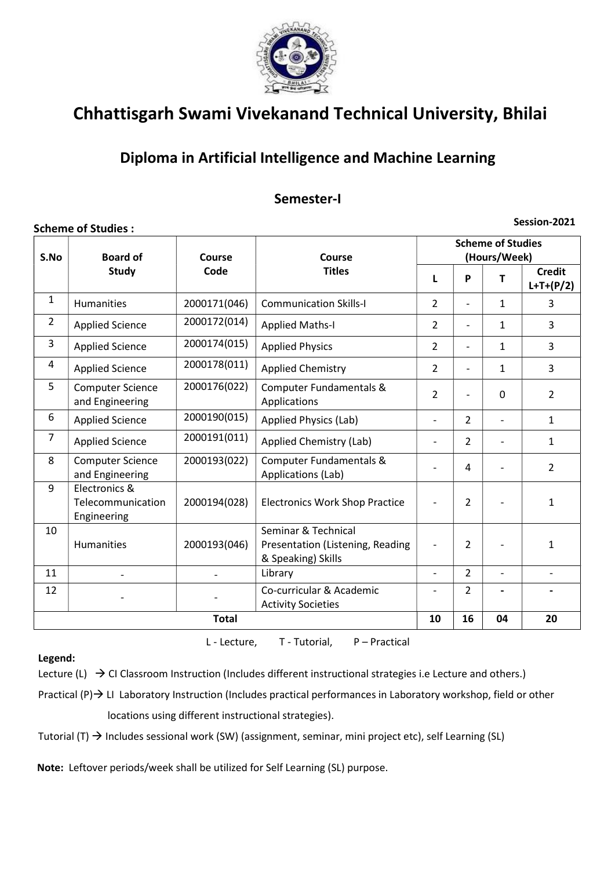

## Diploma in Artificial Intelligence and Machine Learning

### Semester-I

#### Scheme of Studies :

Session-2021

| S.No           | <b>Board of</b>                                   | Course       | Course                                                                        | <b>Scheme of Studies</b><br>(Hours/Week) |                |                |                              |  |
|----------------|---------------------------------------------------|--------------|-------------------------------------------------------------------------------|------------------------------------------|----------------|----------------|------------------------------|--|
|                | <b>Study</b>                                      | Code         | <b>Titles</b>                                                                 | L                                        | P              | т              | <b>Credit</b><br>$L+T+(P/2)$ |  |
| 1              | Humanities                                        | 2000171(046) | <b>Communication Skills-I</b>                                                 | $\overline{2}$                           |                | $\mathbf{1}$   | 3                            |  |
| $\overline{2}$ | <b>Applied Science</b>                            | 2000172(014) | <b>Applied Maths-I</b>                                                        | $\overline{2}$                           |                | $\mathbf{1}$   | $\overline{3}$               |  |
| 3              | <b>Applied Science</b>                            | 2000174(015) | <b>Applied Physics</b>                                                        | $\overline{2}$                           |                | $\mathbf{1}$   | $\overline{3}$               |  |
| 4              | <b>Applied Science</b>                            | 2000178(011) | <b>Applied Chemistry</b>                                                      | $\overline{2}$                           |                | 1              | $\overline{3}$               |  |
| 5              | <b>Computer Science</b><br>and Engineering        | 2000176(022) | Computer Fundamentals &<br>Applications                                       | $\overline{2}$                           |                | $\Omega$       | $\overline{2}$               |  |
| 6              | <b>Applied Science</b>                            | 2000190(015) | Applied Physics (Lab)                                                         | $\overline{\phantom{a}}$                 | $\overline{2}$ |                | $\mathbf{1}$                 |  |
| $\overline{7}$ | <b>Applied Science</b>                            | 2000191(011) | <b>Applied Chemistry (Lab)</b>                                                |                                          | $\overline{2}$ |                | $\mathbf{1}$                 |  |
| 8              | <b>Computer Science</b><br>and Engineering        | 2000193(022) | Computer Fundamentals &<br>Applications (Lab)                                 |                                          | 4              |                | $\overline{2}$               |  |
| 9              | Electronics &<br>Telecommunication<br>Engineering | 2000194(028) | <b>Electronics Work Shop Practice</b>                                         | $\overline{\phantom{a}}$                 | $\overline{2}$ |                | $\mathbf{1}$                 |  |
| 10             | Humanities                                        | 2000193(046) | Seminar & Technical<br>Presentation (Listening, Reading<br>& Speaking) Skills |                                          | $\overline{2}$ |                | $\mathbf{1}$                 |  |
| 11             |                                                   |              | Library                                                                       | $\overline{\phantom{a}}$                 | $\overline{2}$ | $\overline{a}$ | $\overline{\phantom{m}}$     |  |
| 12             |                                                   |              | Co-curricular & Academic<br><b>Activity Societies</b>                         |                                          | $\overline{2}$ |                |                              |  |
|                |                                                   | 10           | 16                                                                            | 04                                       | 20             |                |                              |  |

Legend:

L - Lecture, T - Tutorial, P – Practical

Lecture (L)  $\rightarrow$  CI Classroom Instruction (Includes different instructional strategies i.e Lecture and others.)

Practical  $(P) \rightarrow$  LI Laboratory Instruction (Includes practical performances in Laboratory workshop, field or other locations using different instructional strategies).

Tutorial (T)  $\rightarrow$  Includes sessional work (SW) (assignment, seminar, mini project etc), self Learning (SL)

Note: Leftover periods/week shall be utilized for Self Learning (SL) purpose.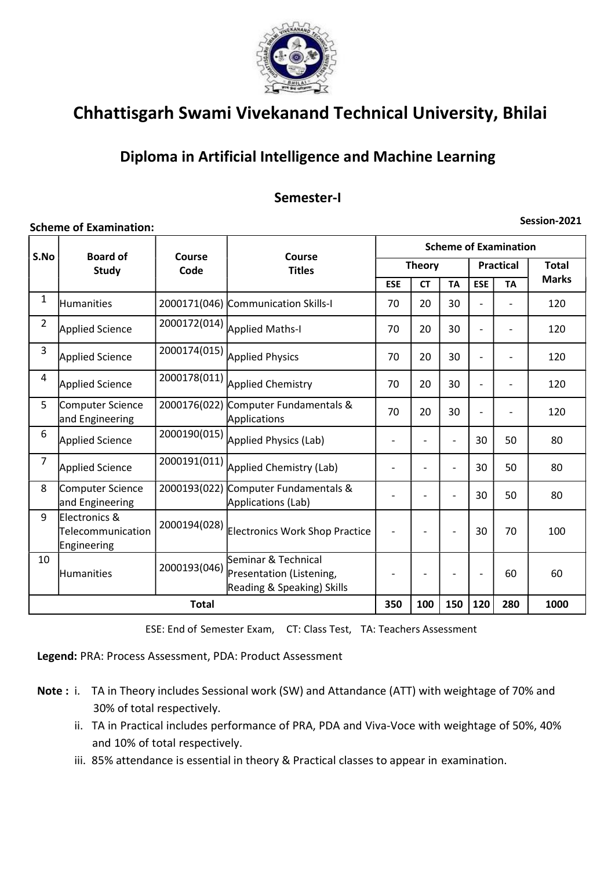

## Diploma in Artificial Intelligence and Machine Learning

### Semester-I

#### Scheme of Examination:

Session-2021

| S.No           | <b>Board of</b><br><b>Study</b>                   | Course<br>Code | Course<br><b>Titles</b>                                                       | <b>Scheme of Examination</b> |           |                          |                  |           |              |  |
|----------------|---------------------------------------------------|----------------|-------------------------------------------------------------------------------|------------------------------|-----------|--------------------------|------------------|-----------|--------------|--|
|                |                                                   |                |                                                                               | <b>Theory</b>                |           |                          | <b>Practical</b> |           | <b>Total</b> |  |
|                |                                                   |                |                                                                               | <b>ESE</b>                   | <b>CT</b> | <b>TA</b>                | <b>ESE</b>       | <b>TA</b> | <b>Marks</b> |  |
| $\mathbf{1}$   | <b>Humanities</b>                                 | 2000171(046)   | Communication Skills-I                                                        | 70                           | 20        | 30                       |                  |           | 120          |  |
| $\overline{2}$ | Applied Science                                   | 2000172(014)   | Applied Maths-I                                                               | 70                           | 20        | 30                       |                  |           | 120          |  |
| 3              | Applied Science                                   | 2000174(015)   | <b>Applied Physics</b>                                                        | 70                           | 20        | 30                       | ٠                |           | 120          |  |
| 4              | Applied Science                                   |                | 2000178(011) Applied Chemistry                                                | 70                           | 20        | 30                       |                  |           | 120          |  |
| 5              | Computer Science<br>and Engineering               | 2000176(022)   | Computer Fundamentals &<br>Applications                                       | 70                           | 20        | 30                       | ٠                |           | 120          |  |
| 6              | <b>Applied Science</b>                            | 2000190(015)   | Applied Physics (Lab)                                                         |                              |           | $\overline{\phantom{0}}$ | 30               | 50        | 80           |  |
| $\overline{7}$ | Applied Science                                   | 2000191(011)   | Applied Chemistry (Lab)                                                       |                              |           |                          | 30               | 50        | 80           |  |
| 8              | Computer Science<br>and Engineering               | 2000193(022)   | Computer Fundamentals &<br>Applications (Lab)                                 |                              |           |                          | 30               | 50        | 80           |  |
| 9              | Electronics &<br>Telecommunication<br>Engineering | 2000194(028)   | Electronics Work Shop Practice                                                |                              |           |                          | 30               | 70        | 100          |  |
| 10             | Humanities                                        | 2000193(046)   | Seminar & Technical<br>Presentation (Listening,<br>Reading & Speaking) Skills |                              |           |                          | ٠                | 60        | 60           |  |
|                | <b>Total</b>                                      |                |                                                                               |                              | 100       | 150                      | 120              | 280       | 1000         |  |

ESE: End of Semester Exam, CT: Class Test, TA: Teachers Assessment

Legend: PRA: Process Assessment, PDA: Product Assessment

- Note : i. TA in Theory includes Sessional work (SW) and Attandance (ATT) with weightage of 70% and 30% of total respectively.
	- ii. TA in Practical includes performance of PRA, PDA and Viva-Voce with weightage of 50%, 40% and 10% of total respectively.
	- iii. 85% attendance is essential in theory & Practical classes to appear in examination.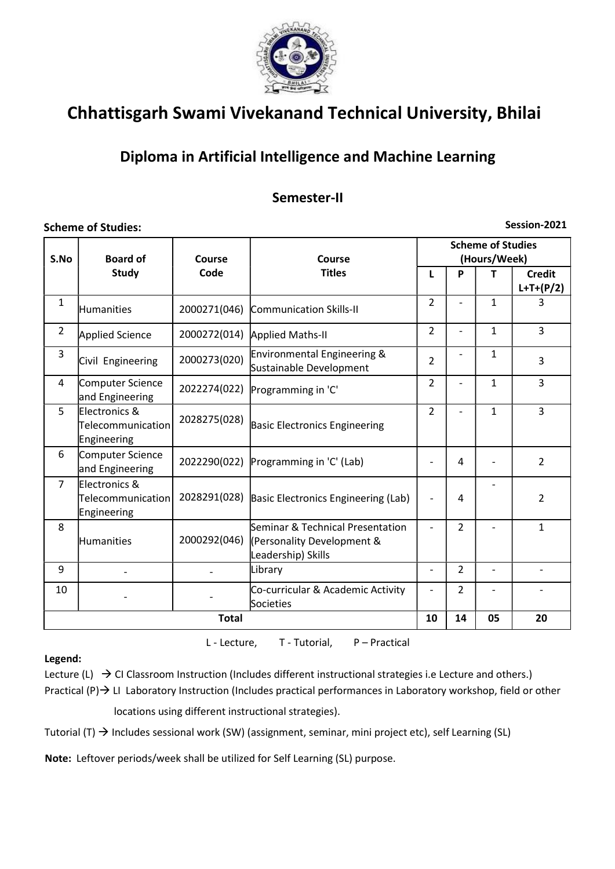

## Diploma in Artificial Intelligence and Machine Learning

### Semester-II

### Scheme of Studies:

Session-2021

| S.No           | <b>Board of</b>                                               | Course       | Course                                                                               | <b>Scheme of Studies</b><br>(Hours/Week) |                          |                          |                              |  |
|----------------|---------------------------------------------------------------|--------------|--------------------------------------------------------------------------------------|------------------------------------------|--------------------------|--------------------------|------------------------------|--|
|                | <b>Study</b>                                                  | Code         | <b>Titles</b>                                                                        | L                                        | P                        | т                        | <b>Credit</b><br>$L+T+(P/2)$ |  |
| $\mathbf{1}$   | <b>Humanities</b>                                             | 2000271(046) | Communication Skills-II                                                              | $\overline{2}$                           |                          | $\mathbf{1}$             | 3                            |  |
| $\overline{2}$ | Applied Science                                               | 2000272(014) | Applied Maths-II                                                                     | $\overline{2}$                           | $\overline{\phantom{0}}$ | $\mathbf{1}$             | 3                            |  |
| 3              | Civil Engineering                                             | 2000273(020) | Environmental Engineering &<br>Sustainable Development                               | $\overline{2}$                           |                          | $\mathbf{1}$             | 3                            |  |
| $\overline{4}$ | Computer Science<br>and Engineering                           | 2022274(022) | Programming in 'C'                                                                   | $\overline{2}$                           |                          | 1                        | 3                            |  |
| 5              | Electronics &<br>Telecommunication<br>Engineering             | 2028275(028) | <b>Basic Electronics Engineering</b>                                                 | $\overline{2}$                           |                          | $\mathbf{1}$             | 3                            |  |
| 6              | Computer Science<br>and Engineering                           | 2022290(022) | Programming in 'C' (Lab)                                                             |                                          | 4                        |                          | $\overline{2}$               |  |
| $\overline{7}$ | Electronics &<br>$\textsf{Telecommunication} $<br>Engineering |              | 2028291(028) Basic Electronics Engineering (Lab)                                     | $\overline{\phantom{a}}$                 | 4                        |                          | $\overline{2}$               |  |
| 8              | Humanities                                                    | 2000292(046) | Seminar & Technical Presentation<br>(Personality Development &<br>Leadership) Skills |                                          | $\overline{2}$           |                          | $\mathbf{1}$                 |  |
| 9              |                                                               |              | Library                                                                              | $\overline{\phantom{a}}$                 | $\overline{2}$           | $\overline{\phantom{0}}$ |                              |  |
| 10             |                                                               |              | Co-curricular & Academic Activity<br>Societies                                       |                                          | $\overline{2}$           |                          |                              |  |
|                |                                                               | <b>Total</b> |                                                                                      | 10                                       | 14                       | 05                       | 20                           |  |

L - Lecture, T - Tutorial, P – Practical

#### Legend:

Lecture (L)  $\rightarrow$  CI Classroom Instruction (Includes different instructional strategies i.e Lecture and others.) Practical  $(P)$   $\rightarrow$  LI Laboratory Instruction (Includes practical performances in Laboratory workshop, field or other locations using different instructional strategies).

Tutorial (T)  $\rightarrow$  Includes sessional work (SW) (assignment, seminar, mini project etc), self Learning (SL)

Note: Leftover periods/week shall be utilized for Self Learning (SL) purpose.